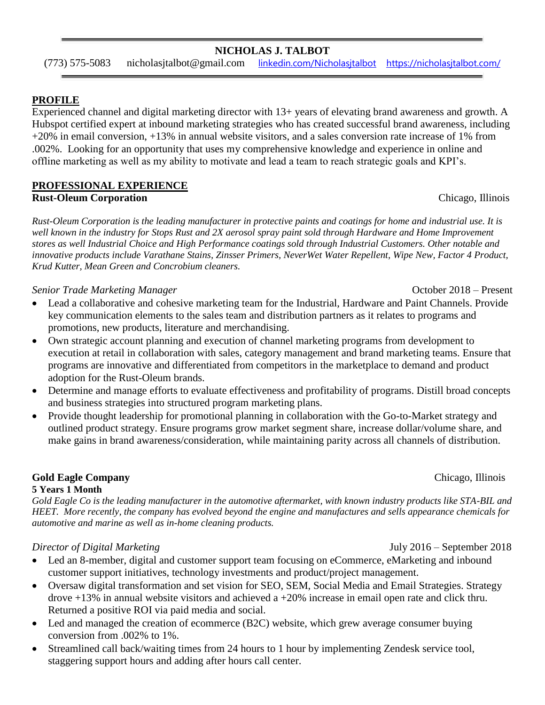## **PROFILE**

Experienced channel and digital marketing director with 13+ years of elevating brand awareness and growth. A Hubspot certified expert at inbound marketing strategies who has created successful brand awareness, including +20% in email conversion, +13% in annual website visitors, and a sales conversion rate increase of 1% from .002%. Looking for an opportunity that uses my comprehensive knowledge and experience in online and offline marketing as well as my ability to motivate and lead a team to reach strategic goals and KPI's.

## **PROFESSIONAL EXPERIENCE Rust-Oleum Corporation Chicago, Illinois**

*Rust-Oleum Corporation is the leading manufacturer in protective paints and coatings for home and industrial use. It is well known in the industry for Stops Rust and 2X aerosol spray paint sold through Hardware and Home Improvement stores as well Industrial Choice and High Performance coatings sold through Industrial Customers. Other notable and innovative products include Varathane Stains, Zinsser Primers, NeverWet Water Repellent, Wipe New, Factor 4 Product, Krud Kutter, Mean Green and Concrobium cleaners.*

## *Senior Trade Marketing Manager Company Senior Company Company Company Company Company Company Company Company Company Company Company Company Company Company Company Company Company*

- Lead a collaborative and cohesive marketing team for the Industrial, Hardware and Paint Channels. Provide key communication elements to the sales team and distribution partners as it relates to programs and promotions, new products, literature and merchandising.
- Own strategic account planning and execution of channel marketing programs from development to execution at retail in collaboration with sales, category management and brand marketing teams. Ensure that programs are innovative and differentiated from competitors in the marketplace to demand and product adoption for the Rust-Oleum brands.
- Determine and manage efforts to evaluate effectiveness and profitability of programs. Distill broad concepts and business strategies into structured program marketing plans.
- Provide thought leadership for promotional planning in collaboration with the Go-to-Market strategy and outlined product strategy. Ensure programs grow market segment share, increase dollar/volume share, and make gains in brand awareness/consideration, while maintaining parity across all channels of distribution.

## **Gold Eagle Company** Chicago, Illinois **5 Years 1 Month**

*Gold Eagle Co is the leading manufacturer in the automotive aftermarket, with known industry products like STA-BIL and HEET. More recently, the company has evolved beyond the engine and manufactures and sells appearance chemicals for automotive and marine as well as in-home cleaning products.* 

## *Director of Digital Marketing*  $July 2016 - September 2018$

- Led an 8-member, digital and customer support team focusing on eCommerce, eMarketing and inbound customer support initiatives, technology investments and product/project management.
- Oversaw digital transformation and set vision for SEO, SEM, Social Media and Email Strategies. Strategy drove +13% in annual website visitors and achieved a +20% increase in email open rate and click thru. Returned a positive ROI via paid media and social.
- Led and managed the creation of ecommerce (B2C) website, which grew average consumer buying conversion from .002% to 1%.
- Streamlined call back/waiting times from 24 hours to 1 hour by implementing Zendesk service tool, staggering support hours and adding after hours call center.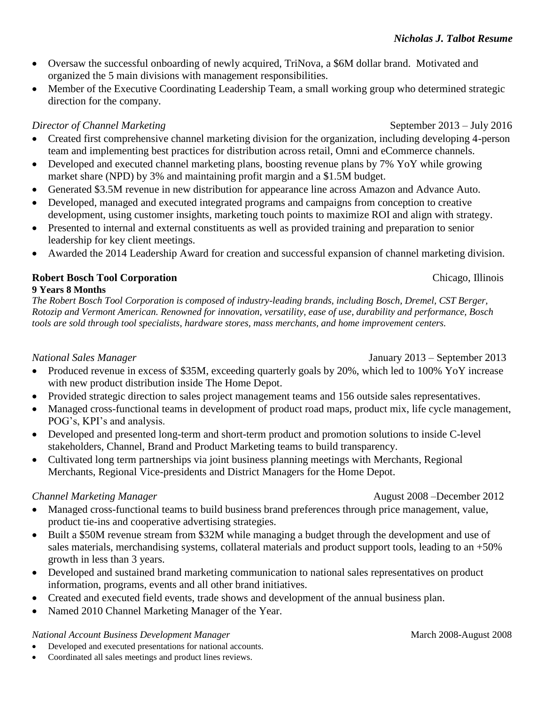- Oversaw the successful onboarding of newly acquired, TriNova, a \$6M dollar brand. Motivated and organized the 5 main divisions with management responsibilities.
- Member of the Executive Coordinating Leadership Team, a small working group who determined strategic direction for the company.

## *Director of Channel Marketing* **September 2013** – July 2016

- Created first comprehensive channel marketing division for the organization, including developing 4-person team and implementing best practices for distribution across retail, Omni and eCommerce channels.
- Developed and executed channel marketing plans, boosting revenue plans by 7% YoY while growing market share (NPD) by 3% and maintaining profit margin and a \$1.5M budget.
- Generated \$3.5M revenue in new distribution for appearance line across Amazon and Advance Auto.
- Developed, managed and executed integrated programs and campaigns from conception to creative development, using customer insights, marketing touch points to maximize ROI and align with strategy.
- Presented to internal and external constituents as well as provided training and preparation to senior leadership for key client meetings.
- Awarded the 2014 Leadership Award for creation and successful expansion of channel marketing division.

**9 Years 8 Months**

*The Robert Bosch Tool Corporation is composed of industry-leading brands, including Bosch, Dremel, CST Berger, Rotozip and Vermont American. Renowned for innovation, versatility, ease of use, durability and performance, Bosch tools are sold through tool specialists, hardware stores, mass merchants, and home improvement centers.*

- Produced revenue in excess of \$35M, exceeding quarterly goals by 20%, which led to 100% YoY increase with new product distribution inside The Home Depot.
- Provided strategic direction to sales project management teams and 156 outside sales representatives.
- Managed cross-functional teams in development of product road maps, product mix, life cycle management, POG's, KPI's and analysis.
- Developed and presented long-term and short-term product and promotion solutions to inside C-level stakeholders, Channel, Brand and Product Marketing teams to build transparency.
- Cultivated long term partnerships via joint business planning meetings with Merchants, Regional Merchants, Regional Vice-presidents and District Managers for the Home Depot.

- Managed cross-functional teams to build business brand preferences through price management, value, product tie-ins and cooperative advertising strategies.
- Built a \$50M revenue stream from \$32M while managing a budget through the development and use of sales materials, merchandising systems, collateral materials and product support tools, leading to an +50% growth in less than 3 years.
- Developed and sustained brand marketing communication to national sales representatives on product information, programs, events and all other brand initiatives.
- Created and executed field events, trade shows and development of the annual business plan.
- Named 2010 Channel Marketing Manager of the Year.

## *National Account Business Development Manager* March 2008-August 2008

 Developed and executed presentations for national accounts. Coordinated all sales meetings and product lines reviews.

# **Robert Bosch Tool Corporation**

# *National Sales Manager* January 2013 – September 2013

*Channel Marketing Manager* **August 2008** – December 2012